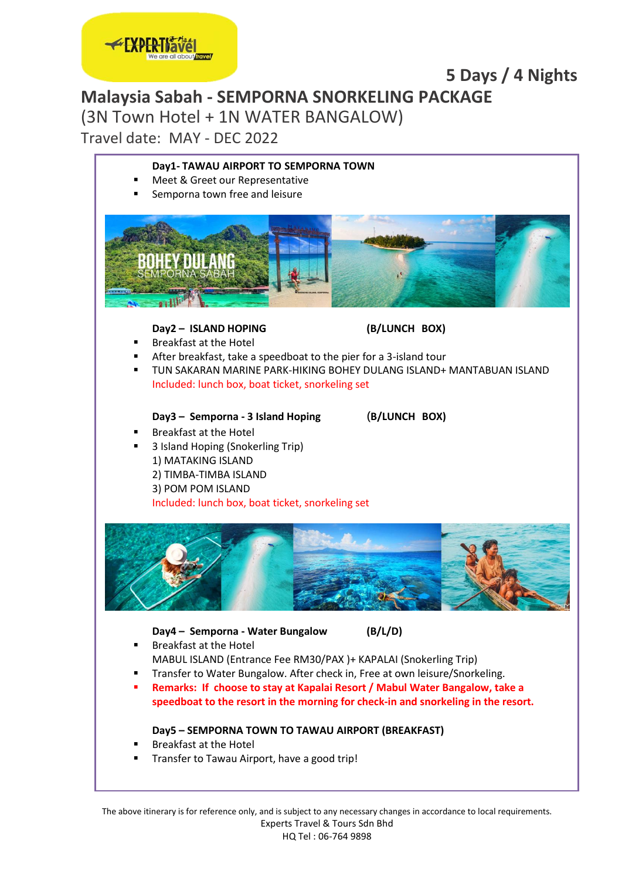

### **5 Days / 4 Nights Malaysia Sabah - SEMPORNA SNORKELING PACKAGE**

(3N Town Hotel + 1N WATER BANGALOW)

Travel date: MAY - DEC 2022

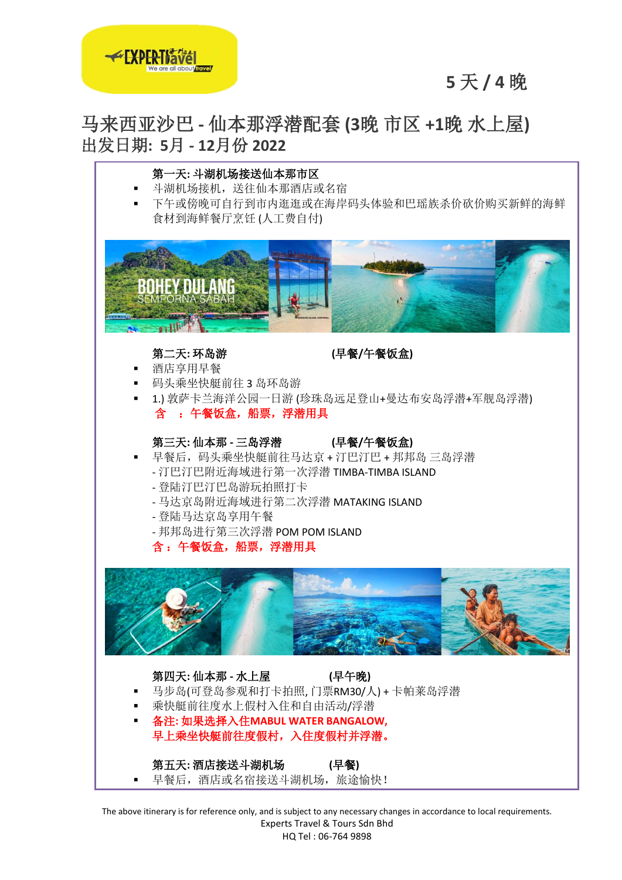

# **5** 天 **/ 4** 晚

## 马来西亚沙巴 **-** 仙本那浮潜配套 **(3**晚 市区 **+1**晚 水上屋**)** 出发日期**: 5**月 **- 12**月份 **2022**



The above itinerary is for reference only, and is subject to any necessary changes in accordance to local requirements. Experts Travel & Tours Sdn Bhd

HQ Tel : 06-764 9898